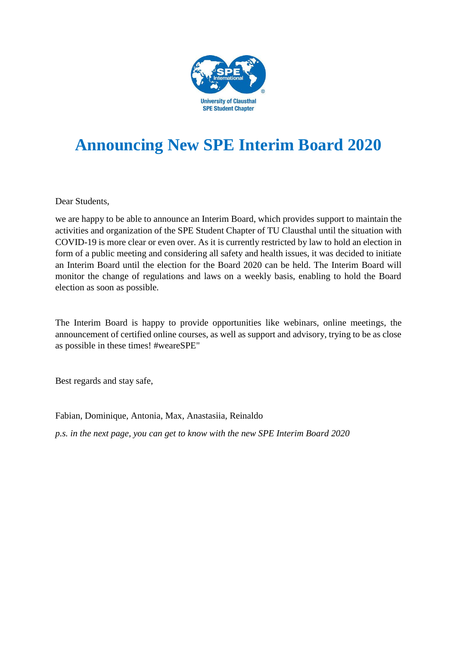

## **Announcing New SPE Interim Board 2020**

Dear Students,

we are happy to be able to announce an Interim Board, which provides support to maintain the activities and organization of the SPE Student Chapter of TU Clausthal until the situation with COVID-19 is more clear or even over. As it is currently restricted by law to hold an election in form of a public meeting and considering all safety and health issues, it was decided to initiate an Interim Board until the election for the Board 2020 can be held. The Interim Board will monitor the change of regulations and laws on a weekly basis, enabling to hold the Board election as soon as possible.

The Interim Board is happy to provide opportunities like webinars, online meetings, the announcement of certified online courses, as well as support and advisory, trying to be as close as possible in these times! #weareSPE"

Best regards and stay safe,

Fabian, Dominique, Antonia, Max, Anastasiia, Reinaldo

*p.s. in the next page, you can get to know with the new SPE Interim Board 2020*